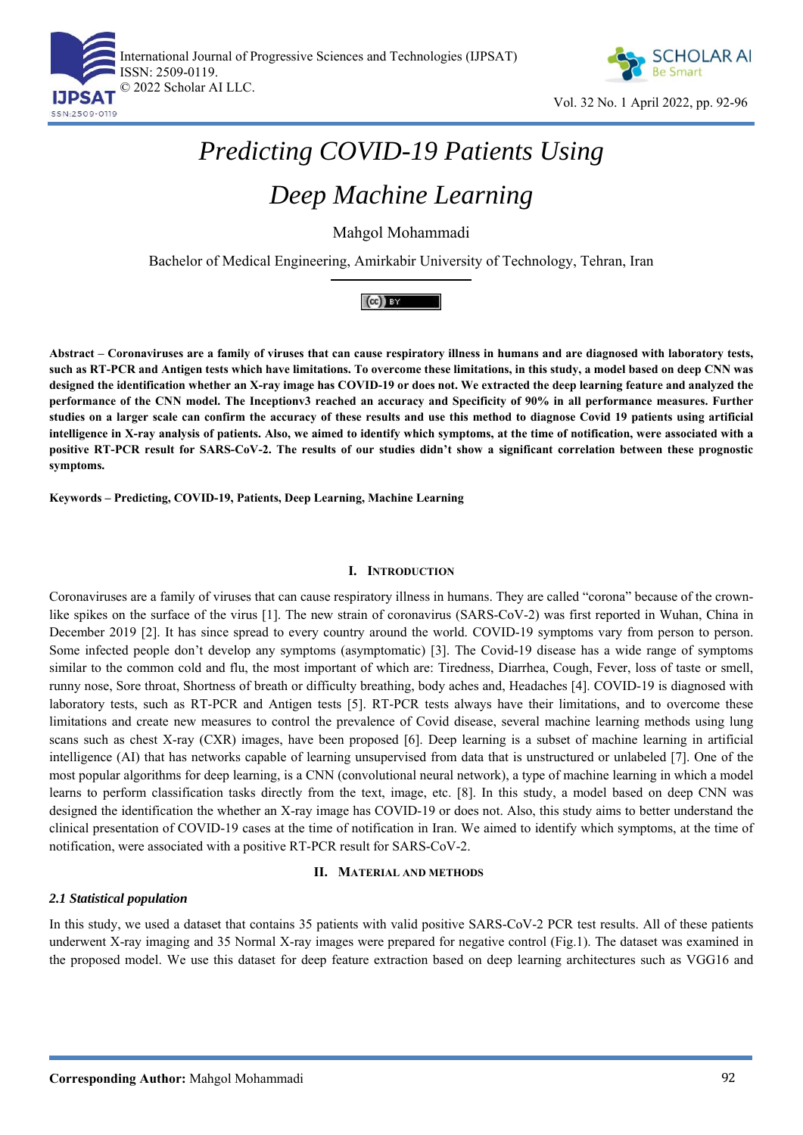



# *Predicting COVID-19 Patients Using*

## *Deep Machine Learning*

Mahgol Mohammadi

Bachelor of Medical Engineering, Amirkabir University of Technology, Tehran, Iran

### $(cc)$  BY

**Abstract – Coronaviruses are a family of viruses that can cause respiratory illness in humans and are diagnosed with laboratory tests, such as RT-PCR and Antigen tests which have limitations. To overcome these limitations, in this study, a model based on deep CNN was designed the identification whether an X-ray image has COVID-19 or does not. We extracted the deep learning feature and analyzed the performance of the CNN model. The Inceptionv3 reached an accuracy and Specificity of 90% in all performance measures. Further studies on a larger scale can confirm the accuracy of these results and use this method to diagnose Covid 19 patients using artificial intelligence in X-ray analysis of patients. Also, we aimed to identify which symptoms, at the time of notification, were associated with a positive RT-PCR result for SARS-CoV-2. The results of our studies didn't show a significant correlation between these prognostic symptoms.** 

**Keywords – Predicting, COVID-19, Patients, Deep Learning, Machine Learning** 

#### **I. INTRODUCTION**

Coronaviruses are a family of viruses that can cause respiratory illness in humans. They are called "corona" because of the crownlike spikes on the surface of the virus [1]. The new strain of coronavirus (SARS-CoV-2) was first reported in Wuhan, China in December 2019 [2]. It has since spread to every country around the world. COVID-19 symptoms vary from person to person. Some infected people don't develop any symptoms (asymptomatic) [3]. The Covid-19 disease has a wide range of symptoms similar to the common cold and flu, the most important of which are: Tiredness, Diarrhea, Cough, Fever, loss of taste or smell, runny nose, Sore throat, Shortness of breath or difficulty breathing, body aches and, Headaches [4]. COVID-19 is diagnosed with laboratory tests, such as RT-PCR and Antigen tests [5]. RT-PCR tests always have their limitations, and to overcome these limitations and create new measures to control the prevalence of Covid disease, several machine learning methods using lung scans such as chest X-ray (CXR) images, have been proposed [6]. Deep learning is a subset of machine learning in artificial intelligence (AI) that has networks capable of learning unsupervised from data that is unstructured or unlabeled [7]. One of the most popular algorithms for deep learning, is a CNN (convolutional neural network), a type of machine learning in which a model learns to perform classification tasks directly from the text, image, etc. [8]. In this study, a model based on deep CNN was designed the identification the whether an X-ray image has COVID-19 or does not. Also, this study aims to better understand the clinical presentation of COVID-19 cases at the time of notification in Iran. We aimed to identify which symptoms, at the time of notification, were associated with a positive RT-PCR result for SARS-CoV-2.

#### **II. MATERIAL AND METHODS**

#### *2.1 Statistical population*

In this study, we used a dataset that contains 35 patients with valid positive SARS-CoV-2 PCR test results. All of these patients underwent X-ray imaging and 35 Normal X-ray images were prepared for negative control (Fig.1). The dataset was examined in the proposed model. We use this dataset for deep feature extraction based on deep learning architectures such as VGG16 and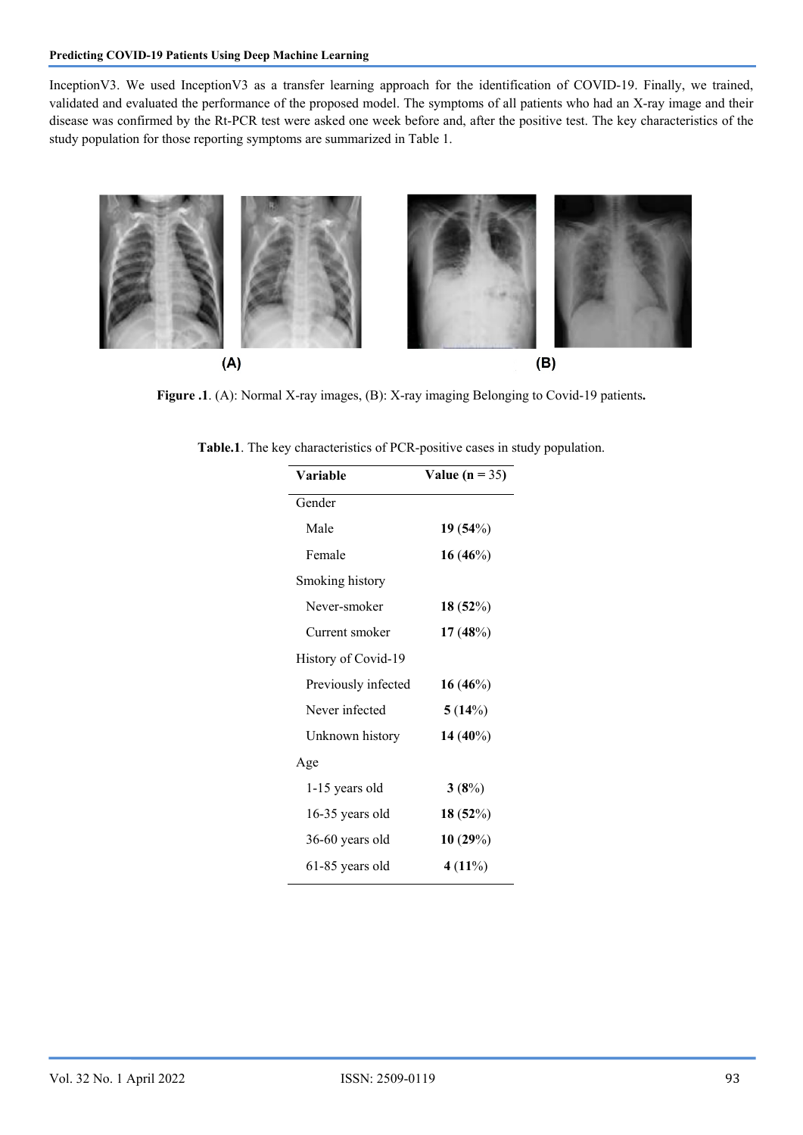InceptionV3. We used InceptionV3 as a transfer learning approach for the identification of COVID-19. Finally, we trained, validated and evaluated the performance of the proposed model. The symptoms of all patients who had an X-ray image and their disease was confirmed by the Rt-PCR test were asked one week before and, after the positive test. The key characteristics of the study population for those reporting symptoms are summarized in Table 1.



Figure .1. (A): Normal X-ray images, (B): X-ray imaging Belonging to Covid-19 patients.

| Table.1. The key characteristics of PCR-positive cases in study population. |  |  |  |  |
|-----------------------------------------------------------------------------|--|--|--|--|
|-----------------------------------------------------------------------------|--|--|--|--|

| Variable            | Value ( $n = 35$ ) |  |
|---------------------|--------------------|--|
| Gender              |                    |  |
| Male                | 19(54%)            |  |
| Female              | $16(46\%)$         |  |
| Smoking history     |                    |  |
| Never-smoker        | 18(52%)            |  |
| Current smoker      | 17(48%)            |  |
| History of Covid-19 |                    |  |
| Previously infected | $16(46\%)$         |  |
| Never infected      | 5(14%)             |  |
| Unknown history     | 14 $(40\%)$        |  |
| Age                 |                    |  |
| 1-15 years old      | 3(8%)              |  |
| 16-35 years old     | 18(52%)            |  |
| 36-60 years old     | 10(29%)            |  |
| 61-85 years old     | 4 (11%)            |  |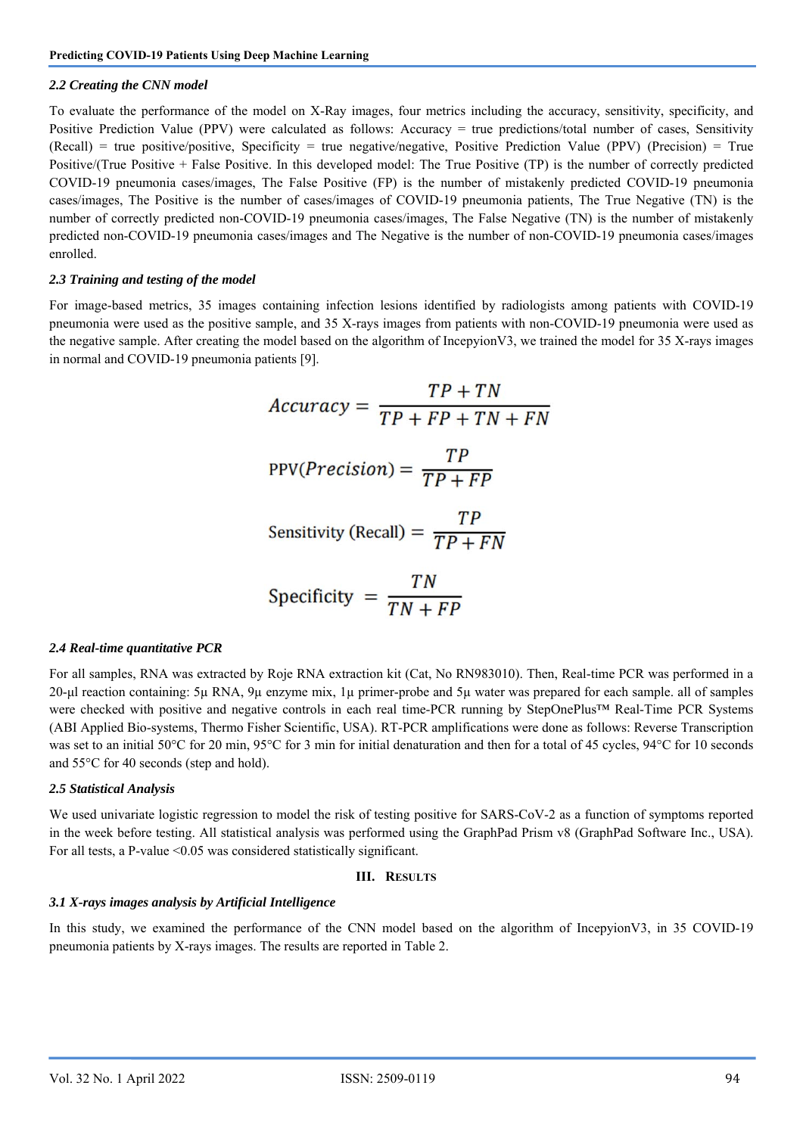#### *2.2 Creating the CNN model*

To evaluate the performance of the model on X-Ray images, four metrics including the accuracy, sensitivity, specificity, and Positive Prediction Value (PPV) were calculated as follows: Accuracy = true predictions/total number of cases, Sensitivity  $(Recall)$  = true positive/positive, Specificity = true negative/negative, Positive Prediction Value (PPV) (Precision) = True Positive/(True Positive + False Positive. In this developed model: The True Positive (TP) is the number of correctly predicted COVID-19 pneumonia cases/images, The False Positive (FP) is the number of mistakenly predicted COVID-19 pneumonia cases/images, The Positive is the number of cases/images of COVID-19 pneumonia patients, The True Negative (TN) is the number of correctly predicted non-COVID-19 pneumonia cases/images, The False Negative (TN) is the number of mistakenly predicted non-COVID-19 pneumonia cases/images and The Negative is the number of non-COVID-19 pneumonia cases/images enrolled.

#### *2.3 Training and testing of the model*

For image-based metrics, 35 images containing infection lesions identified by radiologists among patients with COVID-19 pneumonia were used as the positive sample, and 35 X-rays images from patients with non-COVID-19 pneumonia were used as the negative sample. After creating the model based on the algorithm of IncepyionV3, we trained the model for 35 X-rays images in normal and COVID-19 pneumonia patients [9].

$$
Accuracy = \frac{TP + TN}{TP + FP + TN + FN}
$$

$$
PPV(Precision) = \frac{TP}{TP + FP}
$$

$$
Sensitivity (Recall) = \frac{TP}{TP + FN}
$$

$$
TN
$$

$$
Specificity = \frac{T}{TN + FP}
$$

#### *2.4 Real-time quantitative PCR*

For all samples, RNA was extracted by Roje RNA extraction kit (Cat, No RN983010). Then, Real-time PCR was performed in a 20-μl reaction containing: 5µ RNA, 9µ enzyme mix, 1µ primer-probe and 5µ water was prepared for each sample. all of samples were checked with positive and negative controls in each real time-PCR running by StepOnePlus™ Real-Time PCR Systems (ABI Applied Bio-systems, Thermo Fisher Scientific, USA). RT-PCR amplifications were done as follows: Reverse Transcription was set to an initial 50°C for 20 min, 95°C for 3 min for initial denaturation and then for a total of 45 cycles, 94°C for 10 seconds and 55°C for 40 seconds (step and hold).

#### *2.5 Statistical Analysis*

We used univariate logistic regression to model the risk of testing positive for SARS-CoV-2 as a function of symptoms reported in the week before testing. All statistical analysis was performed using the GraphPad Prism v8 (GraphPad Software Inc., USA). For all tests, a P-value <0.05 was considered statistically significant.

#### **III. RESULTS**

#### *3.1 X-rays images analysis by Artificial Intelligence*

In this study, we examined the performance of the CNN model based on the algorithm of IncepyionV3, in 35 COVID-19 pneumonia patients by X-rays images. The results are reported in Table 2.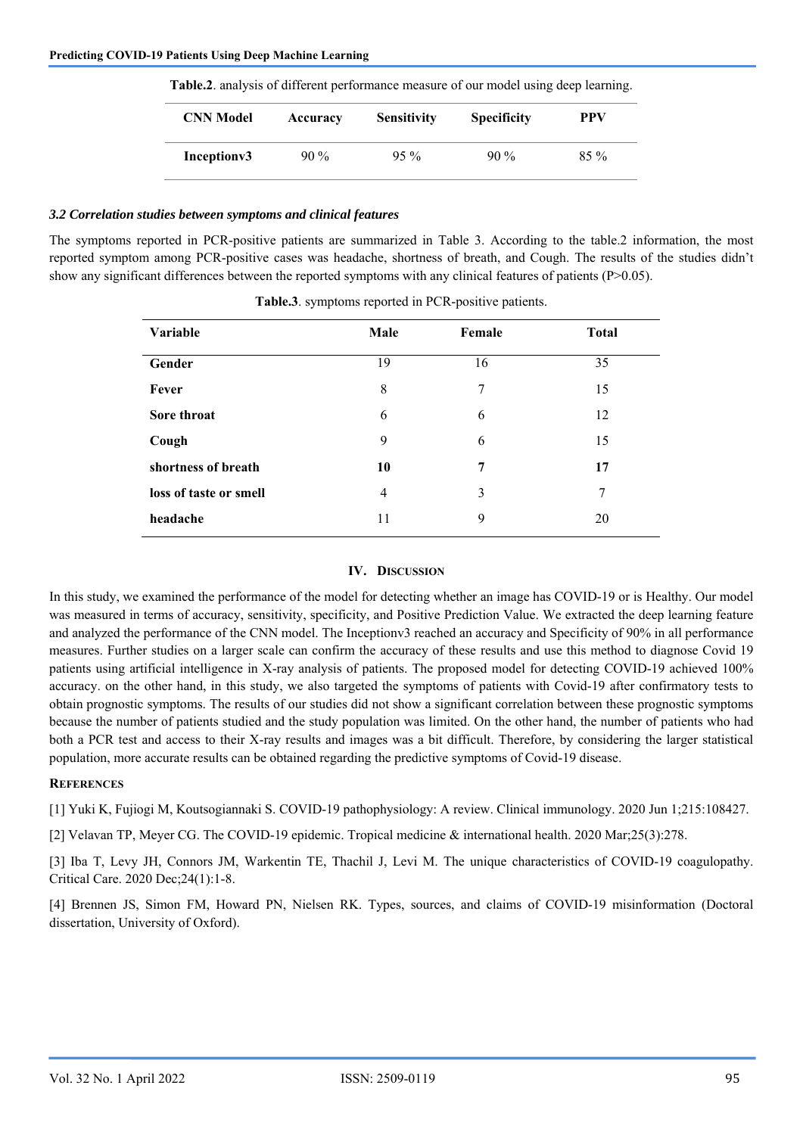| <b>CNN</b> Model        | Accuracy | <b>Sensitivity</b> | <b>Specificity</b> | PPV    |
|-------------------------|----------|--------------------|--------------------|--------|
| Inception <sub>v3</sub> | $90\%$   | $95\%$             | $90\%$             | $85\%$ |

**Table.2**. analysis of different performance measure of our model using deep learning.

#### *3.2 Correlation studies between symptoms and clinical features*

The symptoms reported in PCR-positive patients are summarized in Table 3. According to the table.2 information, the most reported symptom among PCR-positive cases was headache, shortness of breath, and Cough. The results of the studies didn't show any significant differences between the reported symptoms with any clinical features of patients (P>0.05).

| Variable               | Male           | Female | <b>Total</b> |
|------------------------|----------------|--------|--------------|
| Gender                 | 19             | 16     | 35           |
| Fever                  | 8              | 7      | 15           |
| Sore throat            | 6              | 6      | 12           |
| Cough                  | 9              | 6      | 15           |
| shortness of breath    | 10             | 7      | 17           |
| loss of taste or smell | $\overline{4}$ | 3      | 7            |
| headache               | 11             | 9      | 20           |

**Table.3**. symptoms reported in PCR-positive patients.

#### **IV. DISCUSSION**

In this study, we examined the performance of the model for detecting whether an image has COVID-19 or is Healthy. Our model was measured in terms of accuracy, sensitivity, specificity, and Positive Prediction Value. We extracted the deep learning feature and analyzed the performance of the CNN model. The Inceptionv3 reached an accuracy and Specificity of 90% in all performance measures. Further studies on a larger scale can confirm the accuracy of these results and use this method to diagnose Covid 19 patients using artificial intelligence in X-ray analysis of patients. The proposed model for detecting COVID-19 achieved 100% accuracy. on the other hand, in this study, we also targeted the symptoms of patients with Covid-19 after confirmatory tests to obtain prognostic symptoms. The results of our studies did not show a significant correlation between these prognostic symptoms because the number of patients studied and the study population was limited. On the other hand, the number of patients who had both a PCR test and access to their X-ray results and images was a bit difficult. Therefore, by considering the larger statistical population, more accurate results can be obtained regarding the predictive symptoms of Covid-19 disease.

#### **REFERENCES**

[1] Yuki K, Fujiogi M, Koutsogiannaki S. COVID-19 pathophysiology: A review. Clinical immunology. 2020 Jun 1;215:108427.

[2] Velavan TP, Meyer CG. The COVID-19 epidemic. Tropical medicine & international health. 2020 Mar;25(3):278.

[3] Iba T, Levy JH, Connors JM, Warkentin TE, Thachil J, Levi M. The unique characteristics of COVID-19 coagulopathy. Critical Care. 2020 Dec;24(1):1-8.

[4] Brennen JS, Simon FM, Howard PN, Nielsen RK. Types, sources, and claims of COVID-19 misinformation (Doctoral dissertation, University of Oxford).